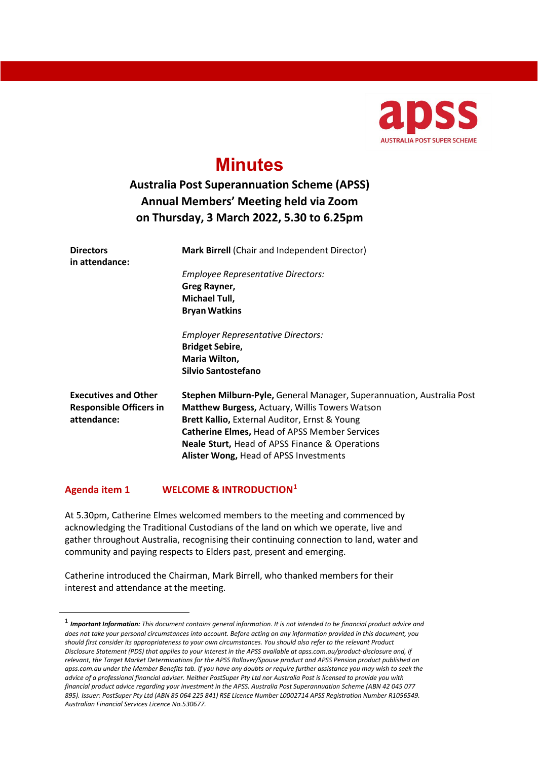

# **Minutes**

# **Australia Post Superannuation Scheme (APSS) Annual Members' Meeting held via Zoom on Thursday, 3 March 2022, 5.30 to 6.25pm**

| <b>Directors</b><br>in attendance:                                           | Mark Birrell (Chair and Independent Director)                                                                                                                                                                                           |
|------------------------------------------------------------------------------|-----------------------------------------------------------------------------------------------------------------------------------------------------------------------------------------------------------------------------------------|
|                                                                              | <b>Employee Representative Directors:</b>                                                                                                                                                                                               |
|                                                                              | Greg Rayner,                                                                                                                                                                                                                            |
|                                                                              | Michael Tull,                                                                                                                                                                                                                           |
|                                                                              | <b>Bryan Watkins</b>                                                                                                                                                                                                                    |
|                                                                              | <b>Employer Representative Directors:</b>                                                                                                                                                                                               |
|                                                                              | <b>Bridget Sebire,</b>                                                                                                                                                                                                                  |
|                                                                              | Maria Wilton,                                                                                                                                                                                                                           |
|                                                                              | Silvio Santostefano                                                                                                                                                                                                                     |
| <b>Executives and Other</b><br><b>Responsible Officers in</b><br>attendance: | Stephen Milburn-Pyle, General Manager, Superannuation, Australia Post<br><b>Matthew Burgess, Actuary, Willis Towers Watson</b><br>Brett Kallio, External Auditor, Ernst & Young<br><b>Catherine Elmes, Head of APSS Member Services</b> |
|                                                                              | <b>Neale Sturt, Head of APSS Finance &amp; Operations</b><br>Alister Wong, Head of APSS Investments                                                                                                                                     |

## **Agenda item 1 WELCOME & INTRODUCTION[1](#page-0-0)**

At 5.30pm, Catherine Elmes welcomed members to the meeting and commenced by acknowledging the Traditional Custodians of the land on which we operate, live and gather throughout Australia, recognising their continuing connection to land, water and community and paying respects to Elders past, present and emerging.

Catherine introduced the Chairman, Mark Birrell, who thanked members for their interest and attendance at the meeting.

<span id="page-0-0"></span><sup>1</sup> *Important Information: This document contains general information. It is not intended to be financial product advice and does not take your personal circumstances into account. Before acting on any information provided in this document, you should first consider its appropriateness to your own circumstances. You should also refer to the relevant Product Disclosure Statement (PDS) that applies to your interest in the APSS available at apss.com.au/product-disclosure and, if relevant, the Target Market Determinations for the APSS Rollover/Spouse product and APSS Pension product published on apss.com.au under the Member Benefits tab. If you have any doubts or require further assistance you may wish to seek the advice of a professional financial adviser. Neither PostSuper Pty Ltd nor Australia Post is licensed to provide you with financial product advice regarding your investment in the APSS. Australia Post Superannuation Scheme (ABN 42 045 077 895). Issuer: PostSuper Pty Ltd (ABN 85 064 225 841) RSE Licence Number L0002714 APSS Registration Number R1056549. Australian Financial Services Licence No.530677.*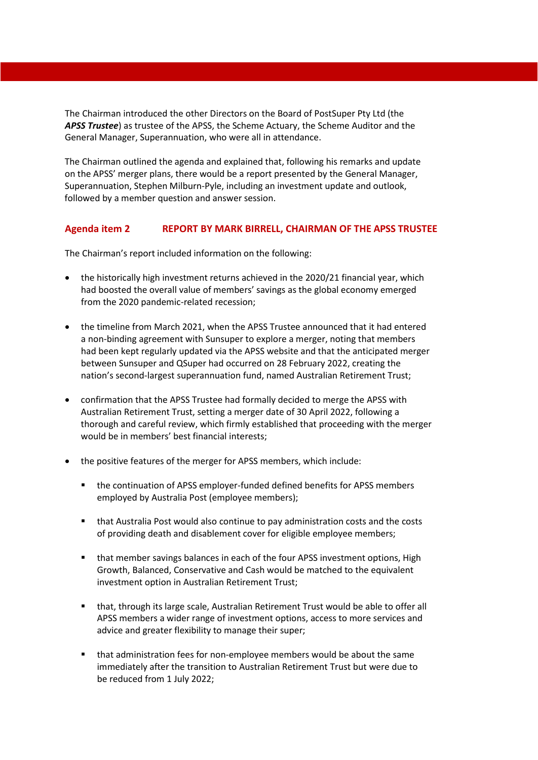The Chairman introduced the other Directors on the Board of PostSuper Pty Ltd (the *APSS Trustee*) as trustee of the APSS, the Scheme Actuary, the Scheme Auditor and the General Manager, Superannuation, who were all in attendance.

The Chairman outlined the agenda and explained that, following his remarks and update on the APSS' merger plans, there would be a report presented by the General Manager, Superannuation, Stephen Milburn-Pyle, including an investment update and outlook, followed by a member question and answer session.

#### **Agenda item 2 REPORT BY MARK BIRRELL, CHAIRMAN OF THE APSS TRUSTEE**

The Chairman's report included information on the following:

- the historically high investment returns achieved in the 2020/21 financial year, which had boosted the overall value of members' savings as the global economy emerged from the 2020 pandemic-related recession;
- the timeline from March 2021, when the APSS Trustee announced that it had entered a non-binding agreement with Sunsuper to explore a merger, noting that members had been kept regularly updated via the APSS website and that the anticipated merger between Sunsuper and QSuper had occurred on 28 February 2022, creating the nation's second-largest superannuation fund, named Australian Retirement Trust;
- confirmation that the APSS Trustee had formally decided to merge the APSS with Australian Retirement Trust, setting a merger date of 30 April 2022, following a thorough and careful review, which firmly established that proceeding with the merger would be in members' best financial interests;
- the positive features of the merger for APSS members, which include:
	- the continuation of APSS employer-funded defined benefits for APSS members employed by Australia Post (employee members);
	- that Australia Post would also continue to pay administration costs and the costs of providing death and disablement cover for eligible employee members;
	- that member savings balances in each of the four APSS investment options, High Growth, Balanced, Conservative and Cash would be matched to the equivalent investment option in Australian Retirement Trust;
	- that, through its large scale, Australian Retirement Trust would be able to offer all APSS members a wider range of investment options, access to more services and advice and greater flexibility to manage their super;
	- that administration fees for non-employee members would be about the same immediately after the transition to Australian Retirement Trust but were due to be reduced from 1 July 2022;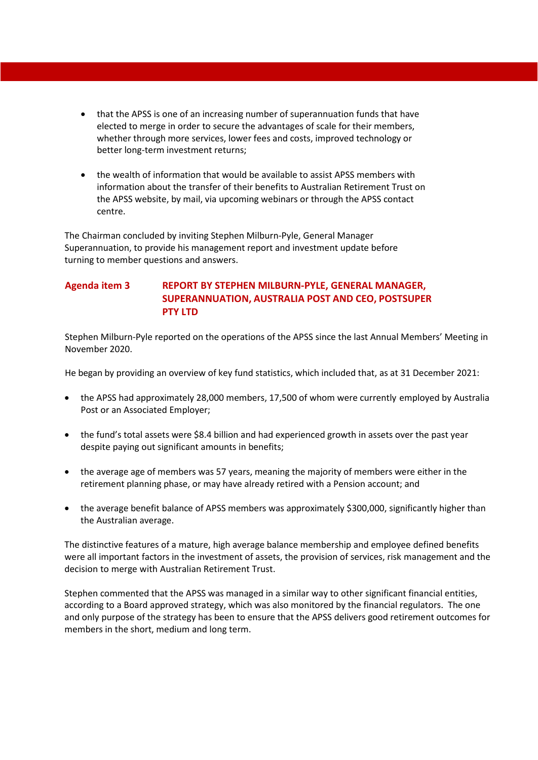- that the APSS is one of an increasing number of superannuation funds that have elected to merge in order to secure the advantages of scale for their members, whether through more services, lower fees and costs, improved technology or better long-term investment returns;
- the wealth of information that would be available to assist APSS members with information about the transfer of their benefits to Australian Retirement Trust on the APSS website, by mail, via upcoming webinars or through the APSS contact centre.

The Chairman concluded by inviting Stephen Milburn-Pyle, General Manager Superannuation, to provide his management report and investment update before turning to member questions and answers.

# **Agenda item 3 REPORT BY STEPHEN MILBURN-PYLE, GENERAL MANAGER, SUPERANNUATION, AUSTRALIA POST AND CEO, POSTSUPER PTY LTD**

Stephen Milburn-Pyle reported on the operations of the APSS since the last Annual Members' Meeting in November 2020.

He began by providing an overview of key fund statistics, which included that, as at 31 December 2021:

- the APSS had approximately 28,000 members, 17,500 of whom were currently employed by Australia Post or an Associated Employer;
- the fund's total assets were \$8.4 billion and had experienced growth in assets over the past year despite paying out significant amounts in benefits;
- the average age of members was 57 years, meaning the majority of members were either in the retirement planning phase, or may have already retired with a Pension account; and
- the average benefit balance of APSS members was approximately \$300,000, significantly higher than the Australian average.

The distinctive features of a mature, high average balance membership and employee defined benefits were all important factors in the investment of assets, the provision of services, risk management and the decision to merge with Australian Retirement Trust.

Stephen commented that the APSS was managed in a similar way to other significant financial entities, according to a Board approved strategy, which was also monitored by the financial regulators. The one and only purpose of the strategy has been to ensure that the APSS delivers good retirement outcomes for members in the short, medium and long term.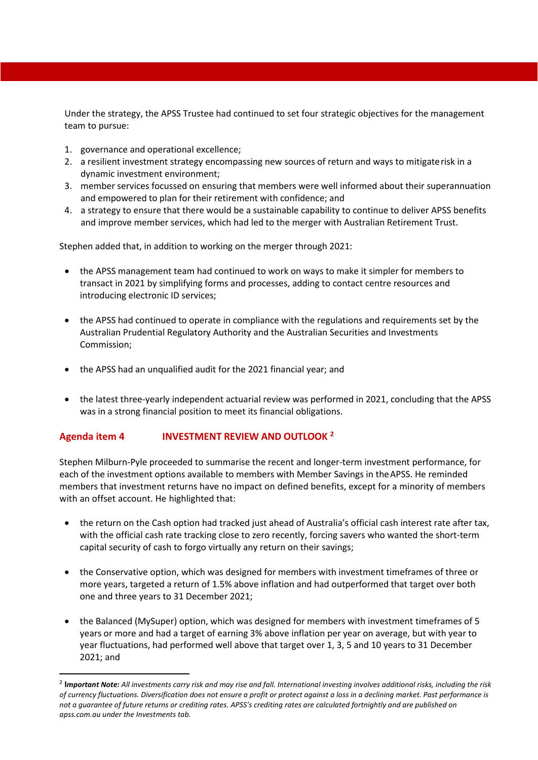Under the strategy, the APSS Trustee had continued to set four strategic objectives for the management team to pursue:

- 1. governance and operational excellence;
- 2. a resilient investment strategy encompassing new sources of return and ways to mitigate risk in a dynamic investment environment;
- 3. member services focussed on ensuring that members were well informed about their superannuation and empowered to plan for their retirement with confidence; and
- 4. a strategy to ensure that there would be a sustainable capability to continue to deliver APSS benefits and improve member services, which had led to the merger with Australian Retirement Trust.

Stephen added that, in addition to working on the merger through 2021:

- the APSS management team had continued to work on ways to make it simpler for members to transact in 2021 by simplifying forms and processes, adding to contact centre resources and introducing electronic ID services;
- the APSS had continued to operate in compliance with the regulations and requirements set by the Australian Prudential Regulatory Authority and the Australian Securities and Investments Commission;
- the APSS had an unqualified audit for the 2021 financial year; and
- the latest three-yearly independent actuarial review was performed in 2021, concluding that the APSS was in a strong financial position to meet its financial obligations.

## **Agenda item 4 INVESTMENT REVIEW AND OUTLOOK [2](#page-3-0)**

Stephen Milburn-Pyle proceeded to summarise the recent and longer-term investment performance, for each of the investment options available to members with Member Savings in the APSS. He reminded members that investment returns have no impact on defined benefits, except for a minority of members with an offset account. He highlighted that:

- the return on the Cash option had tracked just ahead of Australia's official cash interest rate after tax, with the official cash rate tracking close to zero recently, forcing savers who wanted the short-term capital security of cash to forgo virtually any return on their savings;
- the Conservative option, which was designed for members with investment timeframes of three or more years, targeted a return of 1.5% above inflation and had outperformed that target over both one and three years to 31 December 2021;
- the Balanced (MySuper) option, which was designed for members with investment timeframes of 5 years or more and had a target of earning 3% above inflation per year on average, but with year to year fluctuations, had performed well above that target over 1, 3, 5 and 10 years to 31 December 2021; and

<span id="page-3-0"></span><sup>2</sup> **I***mportant Note: All investments carry risk and may rise and fall. International investing involves additional risks, including the risk of currency fluctuations. Diversification does not ensure a profit or protect against a loss in a declining market. Past performance is not a guarantee of future returns or crediting rates. APSS's crediting rates are calculated fortnightly and are published on apss.com.au under the Investments tab.*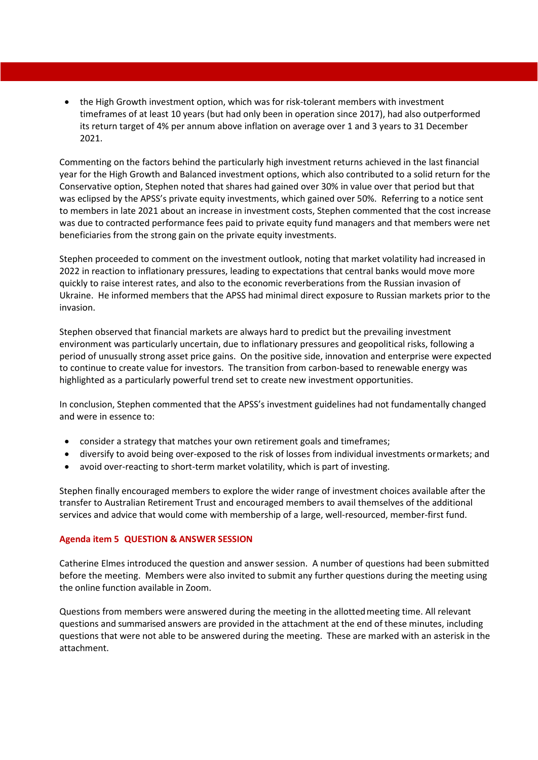• the High Growth investment option, which was for risk-tolerant members with investment timeframes of at least 10 years (but had only been in operation since 2017), had also outperformed its return target of 4% per annum above inflation on average over 1 and 3 years to 31 December 2021.

Commenting on the factors behind the particularly high investment returns achieved in the last financial year for the High Growth and Balanced investment options, which also contributed to a solid return for the Conservative option, Stephen noted that shares had gained over 30% in value over that period but that was eclipsed by the APSS's private equity investments, which gained over 50%. Referring to a notice sent to members in late 2021 about an increase in investment costs, Stephen commented that the cost increase was due to contracted performance fees paid to private equity fund managers and that members were net beneficiaries from the strong gain on the private equity investments.

Stephen proceeded to comment on the investment outlook, noting that market volatility had increased in 2022 in reaction to inflationary pressures, leading to expectations that central banks would move more quickly to raise interest rates, and also to the economic reverberations from the Russian invasion of Ukraine. He informed members that the APSS had minimal direct exposure to Russian markets prior to the invasion.

Stephen observed that financial markets are always hard to predict but the prevailing investment environment was particularly uncertain, due to inflationary pressures and geopolitical risks, following a period of unusually strong asset price gains. On the positive side, innovation and enterprise were expected to continue to create value for investors. The transition from carbon-based to renewable energy was highlighted as a particularly powerful trend set to create new investment opportunities.

In conclusion, Stephen commented that the APSS's investment guidelines had not fundamentally changed and were in essence to:

- consider a strategy that matches your own retirement goals and timeframes;
- diversify to avoid being over-exposed to the risk of losses from individual investments or markets; and
- avoid over-reacting to short-term market volatility, which is part of investing.

Stephen finally encouraged members to explore the wider range of investment choices available after the transfer to Australian Retirement Trust and encouraged members to avail themselves of the additional services and advice that would come with membership of a large, well-resourced, member-first fund.

#### **Agenda item 5 QUESTION & ANSWER SESSION**

Catherine Elmes introduced the question and answer session. A number of questions had been submitted before the meeting. Members were also invited to submit any further questions during the meeting using the online function available in Zoom.

Questions from members were answered during the meeting in the allotted meeting time. All relevant questions and summarised answers are provided in the attachment at the end of these minutes, including questions that were not able to be answered during the meeting. These are marked with an asterisk in the attachment.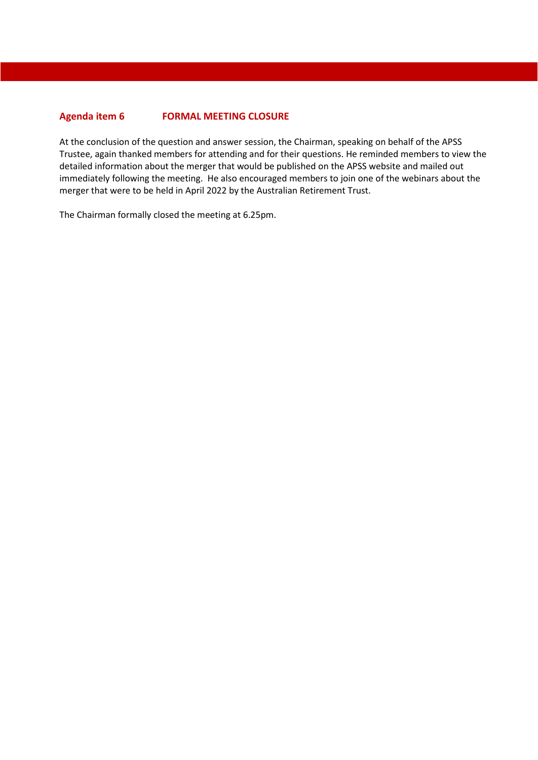#### **Agenda item 6 FORMAL MEETING CLOSURE**

At the conclusion of the question and answer session, the Chairman, speaking on behalf of the APSS Trustee, again thanked members for attending and for their questions. He reminded members to view the detailed information about the merger that would be published on the APSS website and mailed out immediately following the meeting. He also encouraged members to join one of the webinars about the merger that were to be held in April 2022 by the Australian Retirement Trust.

The Chairman formally closed the meeting at 6.25pm.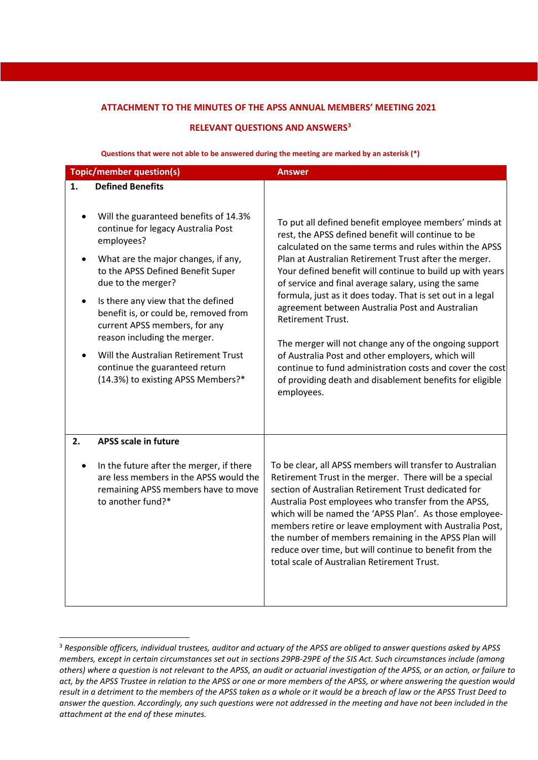#### **ATTACHMENT TO THE MINUTES OF THE APSS ANNUAL MEMBERS' MEETING 2021**

#### **RELEVANT QUESTIONS AND ANSWERS[3](#page-6-0)**

|    |                                                                                                                                                                                                                                                                                    | <b>Answer</b>                                                                                                                                                                                                                                                                                                                                                                                                                                                                                                                 |
|----|------------------------------------------------------------------------------------------------------------------------------------------------------------------------------------------------------------------------------------------------------------------------------------|-------------------------------------------------------------------------------------------------------------------------------------------------------------------------------------------------------------------------------------------------------------------------------------------------------------------------------------------------------------------------------------------------------------------------------------------------------------------------------------------------------------------------------|
|    | <b>Topic/member question(s)</b>                                                                                                                                                                                                                                                    |                                                                                                                                                                                                                                                                                                                                                                                                                                                                                                                               |
| 1. | <b>Defined Benefits</b><br>Will the guaranteed benefits of 14.3%<br>continue for legacy Australia Post<br>employees?<br>What are the major changes, if any,<br>to the APSS Defined Benefit Super                                                                                   | To put all defined benefit employee members' minds at<br>rest, the APSS defined benefit will continue to be<br>calculated on the same terms and rules within the APSS<br>Plan at Australian Retirement Trust after the merger.<br>Your defined benefit will continue to build up with years                                                                                                                                                                                                                                   |
|    | due to the merger?<br>Is there any view that the defined<br>benefit is, or could be, removed from<br>current APSS members, for any<br>reason including the merger.<br>Will the Australian Retirement Trust<br>continue the guaranteed return<br>(14.3%) to existing APSS Members?* | of service and final average salary, using the same<br>formula, just as it does today. That is set out in a legal<br>agreement between Australia Post and Australian<br>Retirement Trust.<br>The merger will not change any of the ongoing support<br>of Australia Post and other employers, which will<br>continue to fund administration costs and cover the cost<br>of providing death and disablement benefits for eligible<br>employees.                                                                                 |
| 2. | <b>APSS scale in future</b><br>In the future after the merger, if there<br>are less members in the APSS would the<br>remaining APSS members have to move<br>to another fund?*                                                                                                      | To be clear, all APSS members will transfer to Australian<br>Retirement Trust in the merger. There will be a special<br>section of Australian Retirement Trust dedicated for<br>Australia Post employees who transfer from the APSS,<br>which will be named the 'APSS Plan'. As those employee-<br>members retire or leave employment with Australia Post,<br>the number of members remaining in the APSS Plan will<br>reduce over time, but will continue to benefit from the<br>total scale of Australian Retirement Trust. |

**Questions that were not able to be answered during the meeting are marked by an asterisk (\*)**

<span id="page-6-0"></span><sup>3</sup> *Responsible officers, individual trustees, auditor and actuary of the APSS are obliged to answer questions asked by APSS members, except in certain circumstances set out in sections 29PB-29PE of the SIS Act. Such circumstances include (among others) where a question is not relevant to the APSS, an audit or actuarial investigation of the APSS, or an action, or failure to act, by the APSS Trustee in relation to the APSS or one or more members of the APSS, or where answering the question would result in a detriment to the members of the APSS taken as a whole or it would be a breach of law or the APSS Trust Deed to answer the question. Accordingly, any such questions were not addressed in the meeting and have not been included in the attachment at the end of these minutes.*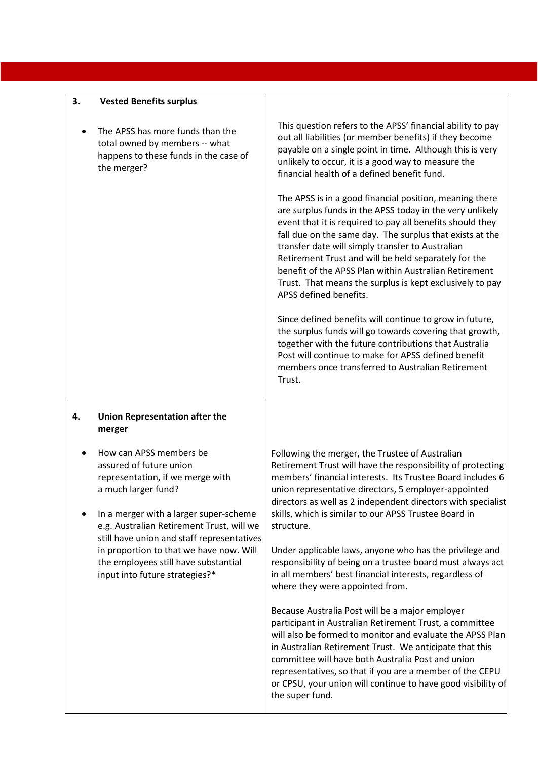| 3. | <b>Vested Benefits surplus</b>                                                                                                                                                                       |                                                                                                                                                                                                                                                                                                                                                                                                                                                                                                         |
|----|------------------------------------------------------------------------------------------------------------------------------------------------------------------------------------------------------|---------------------------------------------------------------------------------------------------------------------------------------------------------------------------------------------------------------------------------------------------------------------------------------------------------------------------------------------------------------------------------------------------------------------------------------------------------------------------------------------------------|
|    | The APSS has more funds than the<br>total owned by members -- what<br>happens to these funds in the case of<br>the merger?                                                                           | This question refers to the APSS' financial ability to pay<br>out all liabilities (or member benefits) if they become<br>payable on a single point in time. Although this is very<br>unlikely to occur, it is a good way to measure the<br>financial health of a defined benefit fund.                                                                                                                                                                                                                  |
|    |                                                                                                                                                                                                      | The APSS is in a good financial position, meaning there<br>are surplus funds in the APSS today in the very unlikely<br>event that it is required to pay all benefits should they<br>fall due on the same day. The surplus that exists at the<br>transfer date will simply transfer to Australian<br>Retirement Trust and will be held separately for the<br>benefit of the APSS Plan within Australian Retirement<br>Trust. That means the surplus is kept exclusively to pay<br>APSS defined benefits. |
|    |                                                                                                                                                                                                      | Since defined benefits will continue to grow in future,<br>the surplus funds will go towards covering that growth,<br>together with the future contributions that Australia<br>Post will continue to make for APSS defined benefit<br>members once transferred to Australian Retirement<br>Trust.                                                                                                                                                                                                       |
| 4. | <b>Union Representation after the</b><br>merger                                                                                                                                                      |                                                                                                                                                                                                                                                                                                                                                                                                                                                                                                         |
|    | How can APSS members be<br>assured of future union<br>representation, if we merge with<br>a much larger fund?<br>In a merger with a larger super-scheme<br>e.g. Australian Retirement Trust, will we | Following the merger, the Trustee of Australian<br>Retirement Trust will have the responsibility of protecting<br>members' financial interests. Its Trustee Board includes 6<br>union representative directors, 5 employer-appointed<br>directors as well as 2 independent directors with specialist<br>skills, which is similar to our APSS Trustee Board in<br>structure.                                                                                                                             |
|    | still have union and staff representatives<br>in proportion to that we have now. Will<br>the employees still have substantial<br>input into future strategies?*                                      | Under applicable laws, anyone who has the privilege and<br>responsibility of being on a trustee board must always act<br>in all members' best financial interests, regardless of<br>where they were appointed from.                                                                                                                                                                                                                                                                                     |
|    |                                                                                                                                                                                                      | Because Australia Post will be a major employer<br>participant in Australian Retirement Trust, a committee<br>will also be formed to monitor and evaluate the APSS Plan<br>in Australian Retirement Trust. We anticipate that this<br>committee will have both Australia Post and union<br>representatives, so that if you are a member of the CEPU<br>or CPSU, your union will continue to have good visibility of<br>the super fund.                                                                  |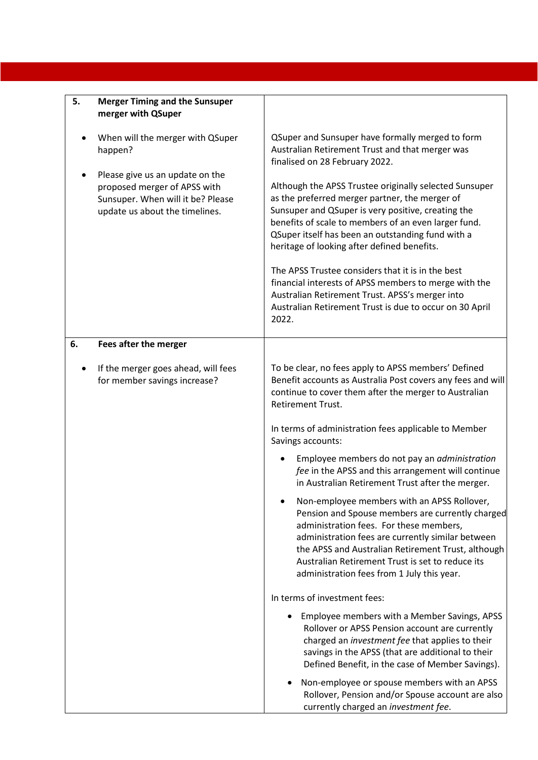| 5. | <b>Merger Timing and the Sunsuper</b><br>merger with QSuper                                                                            |                                                                                                                                                                                                                                                                                                                                                         |
|----|----------------------------------------------------------------------------------------------------------------------------------------|---------------------------------------------------------------------------------------------------------------------------------------------------------------------------------------------------------------------------------------------------------------------------------------------------------------------------------------------------------|
|    | When will the merger with QSuper<br>happen?                                                                                            | QSuper and Sunsuper have formally merged to form<br>Australian Retirement Trust and that merger was<br>finalised on 28 February 2022.                                                                                                                                                                                                                   |
|    | Please give us an update on the<br>proposed merger of APSS with<br>Sunsuper. When will it be? Please<br>update us about the timelines. | Although the APSS Trustee originally selected Sunsuper<br>as the preferred merger partner, the merger of<br>Sunsuper and QSuper is very positive, creating the<br>benefits of scale to members of an even larger fund.<br>QSuper itself has been an outstanding fund with a<br>heritage of looking after defined benefits.                              |
|    |                                                                                                                                        | The APSS Trustee considers that it is in the best<br>financial interests of APSS members to merge with the<br>Australian Retirement Trust. APSS's merger into<br>Australian Retirement Trust is due to occur on 30 April<br>2022.                                                                                                                       |
| 6. | Fees after the merger                                                                                                                  |                                                                                                                                                                                                                                                                                                                                                         |
|    | If the merger goes ahead, will fees<br>for member savings increase?                                                                    | To be clear, no fees apply to APSS members' Defined<br>Benefit accounts as Australia Post covers any fees and will<br>continue to cover them after the merger to Australian<br><b>Retirement Trust.</b>                                                                                                                                                 |
|    |                                                                                                                                        | In terms of administration fees applicable to Member<br>Savings accounts:                                                                                                                                                                                                                                                                               |
|    |                                                                                                                                        | Employee members do not pay an administration<br>fee in the APSS and this arrangement will continue<br>in Australian Retirement Trust after the merger.                                                                                                                                                                                                 |
|    |                                                                                                                                        | Non-employee members with an APSS Rollover,<br>Pension and Spouse members are currently charged<br>administration fees. For these members,<br>administration fees are currently similar between<br>the APSS and Australian Retirement Trust, although<br>Australian Retirement Trust is set to reduce its<br>administration fees from 1 July this year. |
|    |                                                                                                                                        | In terms of investment fees:                                                                                                                                                                                                                                                                                                                            |
|    |                                                                                                                                        | Employee members with a Member Savings, APSS<br>Rollover or APSS Pension account are currently<br>charged an investment fee that applies to their<br>savings in the APSS (that are additional to their<br>Defined Benefit, in the case of Member Savings).                                                                                              |
|    |                                                                                                                                        | Non-employee or spouse members with an APSS<br>Rollover, Pension and/or Spouse account are also<br>currently charged an investment fee.                                                                                                                                                                                                                 |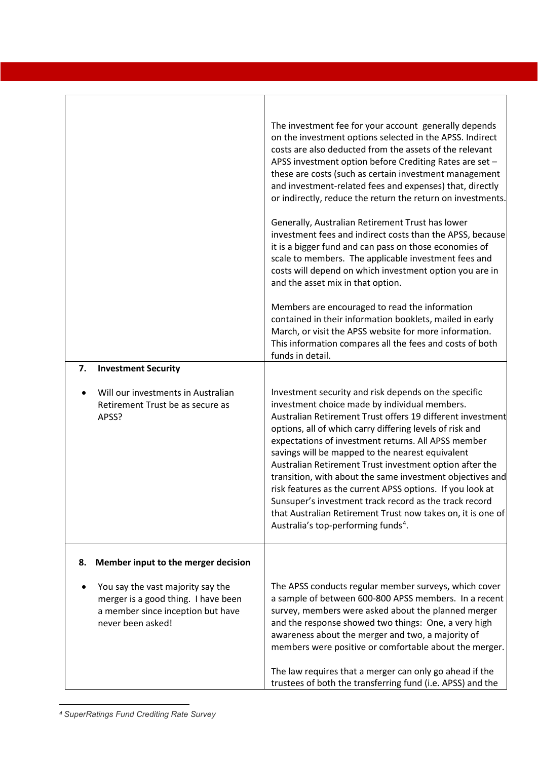| 7. | <b>Investment Security</b><br>Will our investments in Australian<br>Retirement Trust be as secure as<br>APSS?                      | The investment fee for your account generally depends<br>on the investment options selected in the APSS. Indirect<br>costs are also deducted from the assets of the relevant<br>APSS investment option before Crediting Rates are set -<br>these are costs (such as certain investment management<br>and investment-related fees and expenses) that, directly<br>or indirectly, reduce the return the return on investments.<br>Generally, Australian Retirement Trust has lower<br>investment fees and indirect costs than the APSS, because<br>it is a bigger fund and can pass on those economies of<br>scale to members. The applicable investment fees and<br>costs will depend on which investment option you are in<br>and the asset mix in that option.<br>Members are encouraged to read the information<br>contained in their information booklets, mailed in early<br>March, or visit the APSS website for more information.<br>This information compares all the fees and costs of both<br>funds in detail.<br>Investment security and risk depends on the specific<br>investment choice made by individual members.<br>Australian Retirement Trust offers 19 different investment<br>options, all of which carry differing levels of risk and<br>expectations of investment returns. All APSS member<br>savings will be mapped to the nearest equivalent<br>Australian Retirement Trust investment option after the<br>transition, with about the same investment objectives and<br>risk features as the current APSS options. If you look at<br>Sunsuper's investment track record as the track record<br>that Australian Retirement Trust now takes on, it is one of<br>Australia's top-performing funds <sup>4</sup> . |
|----|------------------------------------------------------------------------------------------------------------------------------------|----------------------------------------------------------------------------------------------------------------------------------------------------------------------------------------------------------------------------------------------------------------------------------------------------------------------------------------------------------------------------------------------------------------------------------------------------------------------------------------------------------------------------------------------------------------------------------------------------------------------------------------------------------------------------------------------------------------------------------------------------------------------------------------------------------------------------------------------------------------------------------------------------------------------------------------------------------------------------------------------------------------------------------------------------------------------------------------------------------------------------------------------------------------------------------------------------------------------------------------------------------------------------------------------------------------------------------------------------------------------------------------------------------------------------------------------------------------------------------------------------------------------------------------------------------------------------------------------------------------------------------------------------------------------------------------------------------------------------------------|
| 8. | Member input to the merger decision                                                                                                |                                                                                                                                                                                                                                                                                                                                                                                                                                                                                                                                                                                                                                                                                                                                                                                                                                                                                                                                                                                                                                                                                                                                                                                                                                                                                                                                                                                                                                                                                                                                                                                                                                                                                                                                        |
|    | You say the vast majority say the<br>merger is a good thing. I have been<br>a member since inception but have<br>never been asked! | The APSS conducts regular member surveys, which cover<br>a sample of between 600-800 APSS members. In a recent<br>survey, members were asked about the planned merger<br>and the response showed two things: One, a very high<br>awareness about the merger and two, a majority of<br>members were positive or comfortable about the merger.<br>The law requires that a merger can only go ahead if the<br>trustees of both the transferring fund (i.e. APSS) and the                                                                                                                                                                                                                                                                                                                                                                                                                                                                                                                                                                                                                                                                                                                                                                                                                                                                                                                                                                                                                                                                                                                                                                                                                                                                  |

<span id="page-9-0"></span>*<sup>4</sup> SuperRatings Fund Crediting Rate Survey*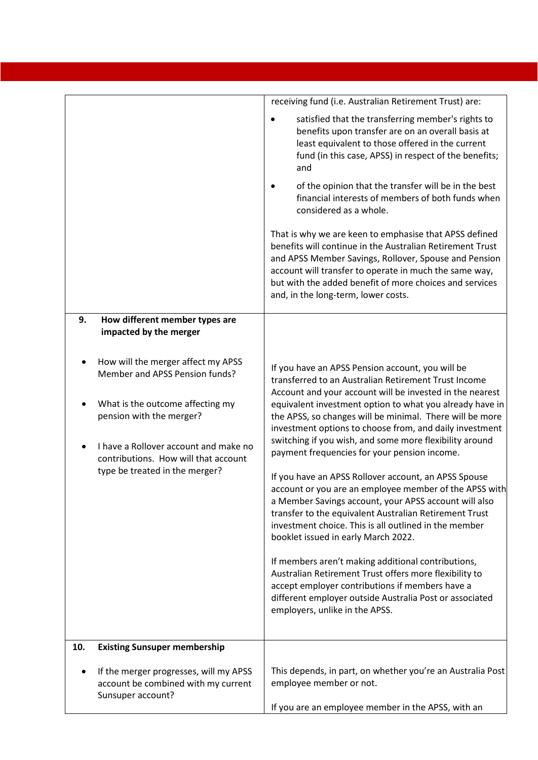|     |                                                                                                                                                                                                                                                         | receiving fund (i.e. Australian Retirement Trust) are:                                                                                                                                                                                                                                                                                                                                                                                                                                                                                                                                                                                                                                                                                                                                                                                                                                                                                                                                                                                                                  |
|-----|---------------------------------------------------------------------------------------------------------------------------------------------------------------------------------------------------------------------------------------------------------|-------------------------------------------------------------------------------------------------------------------------------------------------------------------------------------------------------------------------------------------------------------------------------------------------------------------------------------------------------------------------------------------------------------------------------------------------------------------------------------------------------------------------------------------------------------------------------------------------------------------------------------------------------------------------------------------------------------------------------------------------------------------------------------------------------------------------------------------------------------------------------------------------------------------------------------------------------------------------------------------------------------------------------------------------------------------------|
|     |                                                                                                                                                                                                                                                         | satisfied that the transferring member's rights to<br>benefits upon transfer are on an overall basis at<br>least equivalent to those offered in the current<br>fund (in this case, APSS) in respect of the benefits;<br>and<br>of the opinion that the transfer will be in the best<br>financial interests of members of both funds when<br>considered as a whole.                                                                                                                                                                                                                                                                                                                                                                                                                                                                                                                                                                                                                                                                                                      |
|     |                                                                                                                                                                                                                                                         | That is why we are keen to emphasise that APSS defined<br>benefits will continue in the Australian Retirement Trust<br>and APSS Member Savings, Rollover, Spouse and Pension<br>account will transfer to operate in much the same way,<br>but with the added benefit of more choices and services<br>and, in the long-term, lower costs.                                                                                                                                                                                                                                                                                                                                                                                                                                                                                                                                                                                                                                                                                                                                |
| 9.  | How different member types are<br>impacted by the merger                                                                                                                                                                                                |                                                                                                                                                                                                                                                                                                                                                                                                                                                                                                                                                                                                                                                                                                                                                                                                                                                                                                                                                                                                                                                                         |
|     | How will the merger affect my APSS<br>Member and APSS Pension funds?<br>What is the outcome affecting my<br>pension with the merger?<br>I have a Rollover account and make no<br>contributions. How will that account<br>type be treated in the merger? | If you have an APSS Pension account, you will be<br>transferred to an Australian Retirement Trust Income<br>Account and your account will be invested in the nearest<br>equivalent investment option to what you already have in<br>the APSS, so changes will be minimal. There will be more<br>investment options to choose from, and daily investment<br>switching if you wish, and some more flexibility around<br>payment frequencies for your pension income.<br>If you have an APSS Rollover account, an APSS Spouse<br>account or you are an employee member of the APSS with<br>a Member Savings account, your APSS account will also<br>transfer to the equivalent Australian Retirement Trust<br>investment choice. This is all outlined in the member<br>booklet issued in early March 2022.<br>If members aren't making additional contributions,<br>Australian Retirement Trust offers more flexibility to<br>accept employer contributions if members have a<br>different employer outside Australia Post or associated<br>employers, unlike in the APSS. |
| 10. | <b>Existing Sunsuper membership</b><br>If the merger progresses, will my APSS<br>account be combined with my current<br>Sunsuper account?                                                                                                               | This depends, in part, on whether you're an Australia Post<br>employee member or not.                                                                                                                                                                                                                                                                                                                                                                                                                                                                                                                                                                                                                                                                                                                                                                                                                                                                                                                                                                                   |
|     |                                                                                                                                                                                                                                                         | If you are an employee member in the APSS, with an                                                                                                                                                                                                                                                                                                                                                                                                                                                                                                                                                                                                                                                                                                                                                                                                                                                                                                                                                                                                                      |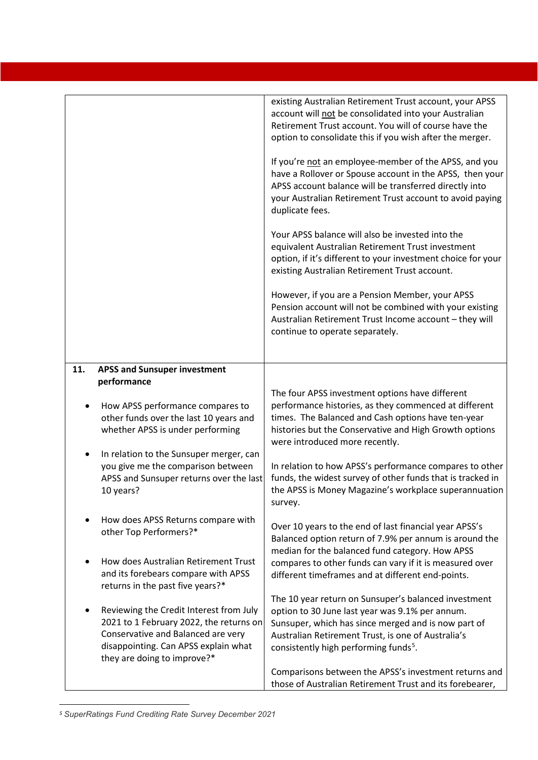|     |                                                                                                                                                                                                 | existing Australian Retirement Trust account, your APSS<br>account will not be consolidated into your Australian<br>Retirement Trust account. You will of course have the<br>option to consolidate this if you wish after the merger.<br>If you're not an employee-member of the APSS, and you<br>have a Rollover or Spouse account in the APSS, then your<br>APSS account balance will be transferred directly into<br>your Australian Retirement Trust account to avoid paying<br>duplicate fees.<br>Your APSS balance will also be invested into the<br>equivalent Australian Retirement Trust investment<br>option, if it's different to your investment choice for your<br>existing Australian Retirement Trust account.<br>However, if you are a Pension Member, your APSS<br>Pension account will not be combined with your existing<br>Australian Retirement Trust Income account - they will<br>continue to operate separately. |
|-----|-------------------------------------------------------------------------------------------------------------------------------------------------------------------------------------------------|------------------------------------------------------------------------------------------------------------------------------------------------------------------------------------------------------------------------------------------------------------------------------------------------------------------------------------------------------------------------------------------------------------------------------------------------------------------------------------------------------------------------------------------------------------------------------------------------------------------------------------------------------------------------------------------------------------------------------------------------------------------------------------------------------------------------------------------------------------------------------------------------------------------------------------------|
| 11. | <b>APSS and Sunsuper investment</b>                                                                                                                                                             |                                                                                                                                                                                                                                                                                                                                                                                                                                                                                                                                                                                                                                                                                                                                                                                                                                                                                                                                          |
|     | performance                                                                                                                                                                                     |                                                                                                                                                                                                                                                                                                                                                                                                                                                                                                                                                                                                                                                                                                                                                                                                                                                                                                                                          |
|     | How APSS performance compares to<br>other funds over the last 10 years and<br>whether APSS is under performing                                                                                  | The four APSS investment options have different<br>performance histories, as they commenced at different<br>times. The Balanced and Cash options have ten-year<br>histories but the Conservative and High Growth options<br>were introduced more recently.                                                                                                                                                                                                                                                                                                                                                                                                                                                                                                                                                                                                                                                                               |
|     | In relation to the Sunsuper merger, can<br>you give me the comparison between<br>APSS and Sunsuper returns over the last<br>10 years?                                                           | In relation to how APSS's performance compares to other<br>funds, the widest survey of other funds that is tracked in<br>the APSS is Money Magazine's workplace superannuation<br>survey.                                                                                                                                                                                                                                                                                                                                                                                                                                                                                                                                                                                                                                                                                                                                                |
|     | How does APSS Returns compare with<br>other Top Performers?*                                                                                                                                    | Over 10 years to the end of last financial year APSS's<br>Balanced option return of 7.9% per annum is around the<br>median for the balanced fund category. How APSS                                                                                                                                                                                                                                                                                                                                                                                                                                                                                                                                                                                                                                                                                                                                                                      |
|     | How does Australian Retirement Trust<br>and its forebears compare with APSS<br>returns in the past five years?*                                                                                 | compares to other funds can vary if it is measured over<br>different timeframes and at different end-points.                                                                                                                                                                                                                                                                                                                                                                                                                                                                                                                                                                                                                                                                                                                                                                                                                             |
|     | Reviewing the Credit Interest from July<br>2021 to 1 February 2022, the returns on<br>Conservative and Balanced are very<br>disappointing. Can APSS explain what<br>they are doing to improve?* | The 10 year return on Sunsuper's balanced investment<br>option to 30 June last year was 9.1% per annum.<br>Sunsuper, which has since merged and is now part of<br>Australian Retirement Trust, is one of Australia's<br>consistently high performing funds <sup>5</sup> .                                                                                                                                                                                                                                                                                                                                                                                                                                                                                                                                                                                                                                                                |
|     |                                                                                                                                                                                                 | Comparisons between the APSS's investment returns and<br>those of Australian Retirement Trust and its forebearer,                                                                                                                                                                                                                                                                                                                                                                                                                                                                                                                                                                                                                                                                                                                                                                                                                        |

<span id="page-11-0"></span>*<sup>5</sup> SuperRatings Fund Crediting Rate Survey December 2021*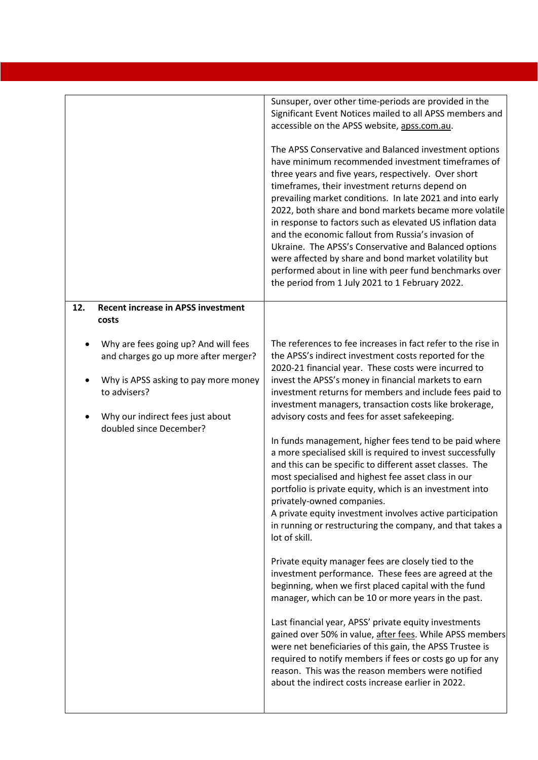|                                                                              | Sunsuper, over other time-periods are provided in the<br>Significant Event Notices mailed to all APSS members and<br>accessible on the APSS website, apss.com.au.                                                                                                                                                                                                                                                                                                                                                                                                                                                                                                                             |
|------------------------------------------------------------------------------|-----------------------------------------------------------------------------------------------------------------------------------------------------------------------------------------------------------------------------------------------------------------------------------------------------------------------------------------------------------------------------------------------------------------------------------------------------------------------------------------------------------------------------------------------------------------------------------------------------------------------------------------------------------------------------------------------|
|                                                                              | The APSS Conservative and Balanced investment options<br>have minimum recommended investment timeframes of<br>three years and five years, respectively. Over short<br>timeframes, their investment returns depend on<br>prevailing market conditions. In late 2021 and into early<br>2022, both share and bond markets became more volatile<br>in response to factors such as elevated US inflation data<br>and the economic fallout from Russia's invasion of<br>Ukraine. The APSS's Conservative and Balanced options<br>were affected by share and bond market volatility but<br>performed about in line with peer fund benchmarks over<br>the period from 1 July 2021 to 1 February 2022. |
| <b>Recent increase in APSS investment</b><br>12.                             |                                                                                                                                                                                                                                                                                                                                                                                                                                                                                                                                                                                                                                                                                               |
| costs                                                                        |                                                                                                                                                                                                                                                                                                                                                                                                                                                                                                                                                                                                                                                                                               |
| Why are fees going up? And will fees<br>and charges go up more after merger? | The references to fee increases in fact refer to the rise in<br>the APSS's indirect investment costs reported for the<br>2020-21 financial year. These costs were incurred to                                                                                                                                                                                                                                                                                                                                                                                                                                                                                                                 |
| Why is APSS asking to pay more money<br>to advisers?                         | invest the APSS's money in financial markets to earn<br>investment returns for members and include fees paid to<br>investment managers, transaction costs like brokerage,                                                                                                                                                                                                                                                                                                                                                                                                                                                                                                                     |
| Why our indirect fees just about<br>doubled since December?                  | advisory costs and fees for asset safekeeping.                                                                                                                                                                                                                                                                                                                                                                                                                                                                                                                                                                                                                                                |
|                                                                              | In funds management, higher fees tend to be paid where<br>a more specialised skill is required to invest successfully<br>and this can be specific to different asset classes. The<br>most specialised and highest fee asset class in our<br>portfolio is private equity, which is an investment into<br>privately-owned companies.<br>A private equity investment involves active participation<br>in running or restructuring the company, and that takes a<br>lot of skill.                                                                                                                                                                                                                 |
|                                                                              | Private equity manager fees are closely tied to the<br>investment performance. These fees are agreed at the<br>beginning, when we first placed capital with the fund<br>manager, which can be 10 or more years in the past.                                                                                                                                                                                                                                                                                                                                                                                                                                                                   |
|                                                                              | Last financial year, APSS' private equity investments<br>gained over 50% in value, after fees. While APSS members<br>were net beneficiaries of this gain, the APSS Trustee is<br>required to notify members if fees or costs go up for any<br>reason. This was the reason members were notified<br>about the indirect costs increase earlier in 2022.                                                                                                                                                                                                                                                                                                                                         |
|                                                                              |                                                                                                                                                                                                                                                                                                                                                                                                                                                                                                                                                                                                                                                                                               |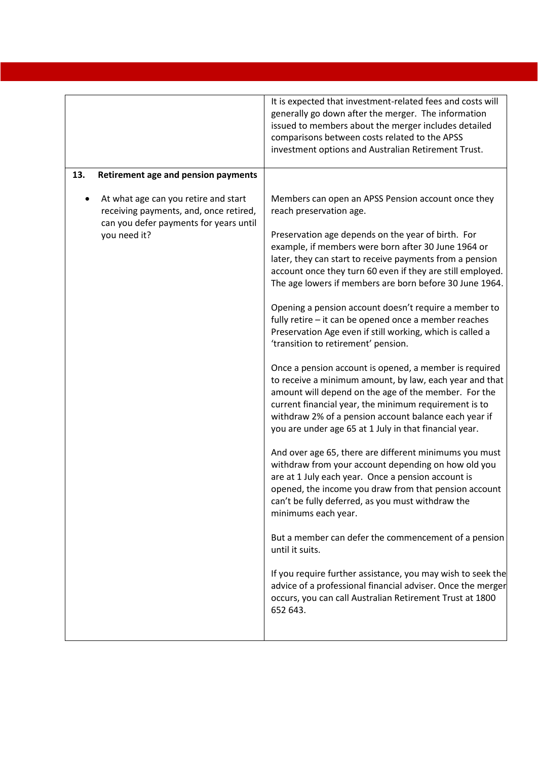|     |                                                                                                                                          | It is expected that investment-related fees and costs will<br>generally go down after the merger. The information<br>issued to members about the merger includes detailed<br>comparisons between costs related to the APSS<br>investment options and Australian Retirement Trust.                                                                                                                                                                                                                                                                                                                                                                                                                                                                                                                                                                                                                                                                                                                                                                                                                                                                                                                                                                                                                                                                                                                                                                                                                                                                           |
|-----|------------------------------------------------------------------------------------------------------------------------------------------|-------------------------------------------------------------------------------------------------------------------------------------------------------------------------------------------------------------------------------------------------------------------------------------------------------------------------------------------------------------------------------------------------------------------------------------------------------------------------------------------------------------------------------------------------------------------------------------------------------------------------------------------------------------------------------------------------------------------------------------------------------------------------------------------------------------------------------------------------------------------------------------------------------------------------------------------------------------------------------------------------------------------------------------------------------------------------------------------------------------------------------------------------------------------------------------------------------------------------------------------------------------------------------------------------------------------------------------------------------------------------------------------------------------------------------------------------------------------------------------------------------------------------------------------------------------|
| 13. | <b>Retirement age and pension payments</b>                                                                                               |                                                                                                                                                                                                                                                                                                                                                                                                                                                                                                                                                                                                                                                                                                                                                                                                                                                                                                                                                                                                                                                                                                                                                                                                                                                                                                                                                                                                                                                                                                                                                             |
|     | At what age can you retire and start<br>receiving payments, and, once retired,<br>can you defer payments for years until<br>you need it? | Members can open an APSS Pension account once they<br>reach preservation age.<br>Preservation age depends on the year of birth. For<br>example, if members were born after 30 June 1964 or<br>later, they can start to receive payments from a pension<br>account once they turn 60 even if they are still employed.<br>The age lowers if members are born before 30 June 1964.<br>Opening a pension account doesn't require a member to<br>fully retire - it can be opened once a member reaches<br>Preservation Age even if still working, which is called a<br>'transition to retirement' pension.<br>Once a pension account is opened, a member is required<br>to receive a minimum amount, by law, each year and that<br>amount will depend on the age of the member. For the<br>current financial year, the minimum requirement is to<br>withdraw 2% of a pension account balance each year if<br>you are under age 65 at 1 July in that financial year.<br>And over age 65, there are different minimums you must<br>withdraw from your account depending on how old you<br>are at 1 July each year. Once a pension account is<br>opened, the income you draw from that pension account<br>can't be fully deferred, as you must withdraw the<br>minimums each year.<br>But a member can defer the commencement of a pension<br>until it suits.<br>If you require further assistance, you may wish to seek the<br>advice of a professional financial adviser. Once the merger<br>occurs, you can call Australian Retirement Trust at 1800<br>652 643. |
|     |                                                                                                                                          |                                                                                                                                                                                                                                                                                                                                                                                                                                                                                                                                                                                                                                                                                                                                                                                                                                                                                                                                                                                                                                                                                                                                                                                                                                                                                                                                                                                                                                                                                                                                                             |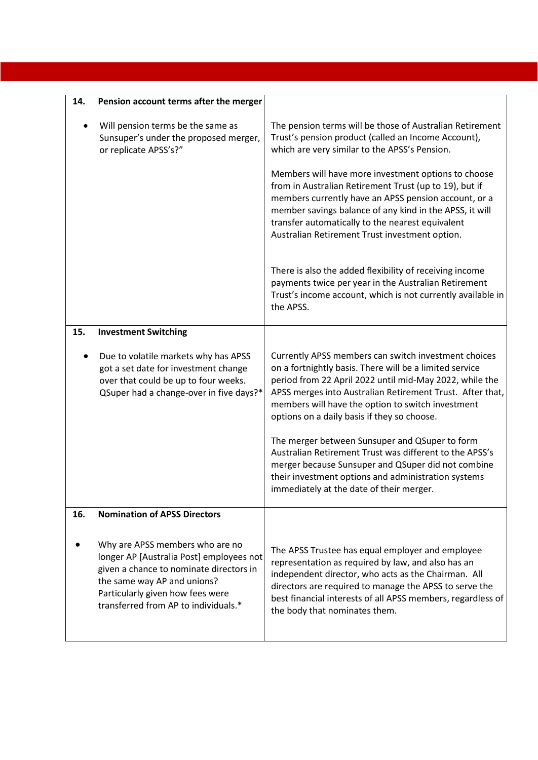| 14. | Pension account terms after the merger                                                                                                                                                                                            |                                                                                                                                                                                                                                                                                                                                             |
|-----|-----------------------------------------------------------------------------------------------------------------------------------------------------------------------------------------------------------------------------------|---------------------------------------------------------------------------------------------------------------------------------------------------------------------------------------------------------------------------------------------------------------------------------------------------------------------------------------------|
|     | Will pension terms be the same as<br>Sunsuper's under the proposed merger,<br>or replicate APSS's?"                                                                                                                               | The pension terms will be those of Australian Retirement<br>Trust's pension product (called an Income Account),<br>which are very similar to the APSS's Pension.                                                                                                                                                                            |
|     |                                                                                                                                                                                                                                   | Members will have more investment options to choose<br>from in Australian Retirement Trust (up to 19), but if<br>members currently have an APSS pension account, or a<br>member savings balance of any kind in the APSS, it will<br>transfer automatically to the nearest equivalent<br>Australian Retirement Trust investment option.      |
|     |                                                                                                                                                                                                                                   | There is also the added flexibility of receiving income<br>payments twice per year in the Australian Retirement<br>Trust's income account, which is not currently available in<br>the APSS.                                                                                                                                                 |
| 15. | <b>Investment Switching</b>                                                                                                                                                                                                       |                                                                                                                                                                                                                                                                                                                                             |
|     | Due to volatile markets why has APSS<br>got a set date for investment change<br>over that could be up to four weeks.<br>QSuper had a change-over in five days?*                                                                   | Currently APSS members can switch investment choices<br>on a fortnightly basis. There will be a limited service<br>period from 22 April 2022 until mid-May 2022, while the<br>APSS merges into Australian Retirement Trust. After that,<br>members will have the option to switch investment<br>options on a daily basis if they so choose. |
|     |                                                                                                                                                                                                                                   | The merger between Sunsuper and QSuper to form<br>Australian Retirement Trust was different to the APSS's<br>merger because Sunsuper and QSuper did not combine<br>their investment options and administration systems<br>immediately at the date of their merger.                                                                          |
| 16. | <b>Nomination of APSS Directors</b>                                                                                                                                                                                               |                                                                                                                                                                                                                                                                                                                                             |
|     | Why are APSS members who are no<br>longer AP [Australia Post] employees not<br>given a chance to nominate directors in<br>the same way AP and unions?<br>Particularly given how fees were<br>transferred from AP to individuals.* | The APSS Trustee has equal employer and employee<br>representation as required by law, and also has an<br>independent director, who acts as the Chairman. All<br>directors are required to manage the APSS to serve the<br>best financial interests of all APSS members, regardless of<br>the body that nominates them.                     |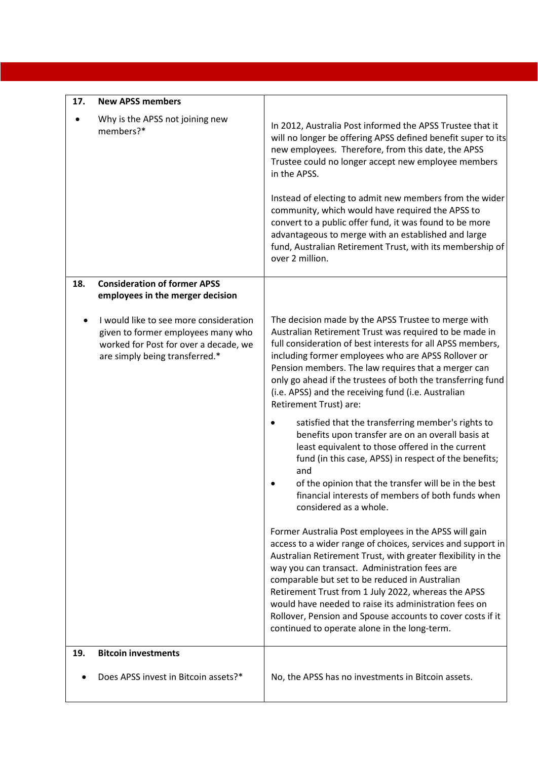| 17. | <b>New APSS members</b>                                                                                                                                 |                                                                                                                                                                                                                                                                                                                                                                                                                                                                                                                       |
|-----|---------------------------------------------------------------------------------------------------------------------------------------------------------|-----------------------------------------------------------------------------------------------------------------------------------------------------------------------------------------------------------------------------------------------------------------------------------------------------------------------------------------------------------------------------------------------------------------------------------------------------------------------------------------------------------------------|
|     | Why is the APSS not joining new<br>members?*                                                                                                            | In 2012, Australia Post informed the APSS Trustee that it<br>will no longer be offering APSS defined benefit super to its<br>new employees. Therefore, from this date, the APSS<br>Trustee could no longer accept new employee members<br>in the APSS.<br>Instead of electing to admit new members from the wider                                                                                                                                                                                                     |
|     |                                                                                                                                                         | community, which would have required the APSS to<br>convert to a public offer fund, it was found to be more<br>advantageous to merge with an established and large<br>fund, Australian Retirement Trust, with its membership of<br>over 2 million.                                                                                                                                                                                                                                                                    |
| 18. | <b>Consideration of former APSS</b><br>employees in the merger decision                                                                                 |                                                                                                                                                                                                                                                                                                                                                                                                                                                                                                                       |
|     | I would like to see more consideration<br>given to former employees many who<br>worked for Post for over a decade, we<br>are simply being transferred.* | The decision made by the APSS Trustee to merge with<br>Australian Retirement Trust was required to be made in<br>full consideration of best interests for all APSS members,<br>including former employees who are APSS Rollover or<br>Pension members. The law requires that a merger can<br>only go ahead if the trustees of both the transferring fund<br>(i.e. APSS) and the receiving fund (i.e. Australian<br>Retirement Trust) are:                                                                             |
|     |                                                                                                                                                         | satisfied that the transferring member's rights to<br>benefits upon transfer are on an overall basis at<br>least equivalent to those offered in the current<br>fund (in this case, APSS) in respect of the benefits;<br>and<br>of the opinion that the transfer will be in the best<br>financial interests of members of both funds when<br>considered as a whole.                                                                                                                                                    |
|     |                                                                                                                                                         | Former Australia Post employees in the APSS will gain<br>access to a wider range of choices, services and support in<br>Australian Retirement Trust, with greater flexibility in the<br>way you can transact. Administration fees are<br>comparable but set to be reduced in Australian<br>Retirement Trust from 1 July 2022, whereas the APSS<br>would have needed to raise its administration fees on<br>Rollover, Pension and Spouse accounts to cover costs if it<br>continued to operate alone in the long-term. |
| 19. | <b>Bitcoin investments</b>                                                                                                                              |                                                                                                                                                                                                                                                                                                                                                                                                                                                                                                                       |
|     | Does APSS invest in Bitcoin assets?*                                                                                                                    | No, the APSS has no investments in Bitcoin assets.                                                                                                                                                                                                                                                                                                                                                                                                                                                                    |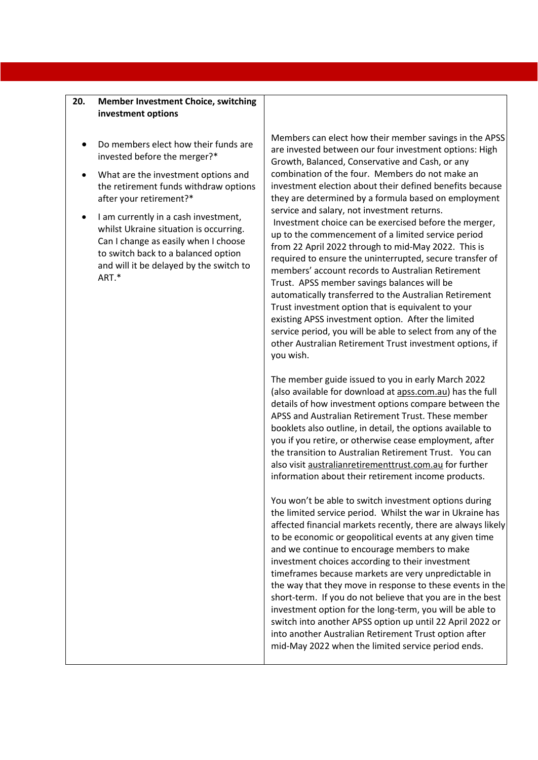#### **20. Member Investment Choice, switching investment options**

- Do members elect how their funds are invested before the merger?\*
- What are the investment options and the retirement funds withdraw options after your retirement?\*
- I am currently in a cash investment, whilst Ukraine situation is occurring. Can I change as easily when I choose to switch back to a balanced option and will it be delayed by the switch to ART.\*

Members can elect how their member savings in the APSS are invested between our four investment options: High Growth, Balanced, Conservative and Cash, or any combination of the four. Members do not make an investment election about their defined benefits because they are determined by a formula based on employment service and salary, not investment returns. Investment choice can be exercised before the merger, up to the commencement of a limited service period from 22 April 2022 through to mid-May 2022. This is required to ensure the uninterrupted, secure transfer of members' account records to Australian Retirement Trust. APSS member savings balances will be automatically transferred to the Australian Retirement Trust investment option that is equivalent to your existing APSS investment option. After the limited service period, you will be able to select from any of the other Australian Retirement Trust investment options, if you wish.

The member guide issued to you in early March 2022 (also available for download at apss.com.au) has the full details of how investment options compare between the APSS and Australian Retirement Trust. These member booklets also outline, in detail, the options available to you if you retire, or otherwise cease employment, after the transition to Australian Retirement Trust. You can also visit australianretirementtrust.com.au for further information about their retirement income products.

You won't be able to switch investment options during the limited service period. Whilst the war in Ukraine has affected financial markets recently, there are always likely to be economic or geopolitical events at any given time and we continue to encourage members to make investment choices according to their investment timeframes because markets are very unpredictable in the way that they move in response to these events in the short-term. If you do not believe that you are in the best investment option for the long-term, you will be able to switch into another APSS option up until 22 April 2022 or into another Australian Retirement Trust option after mid-May 2022 when the limited service period ends.